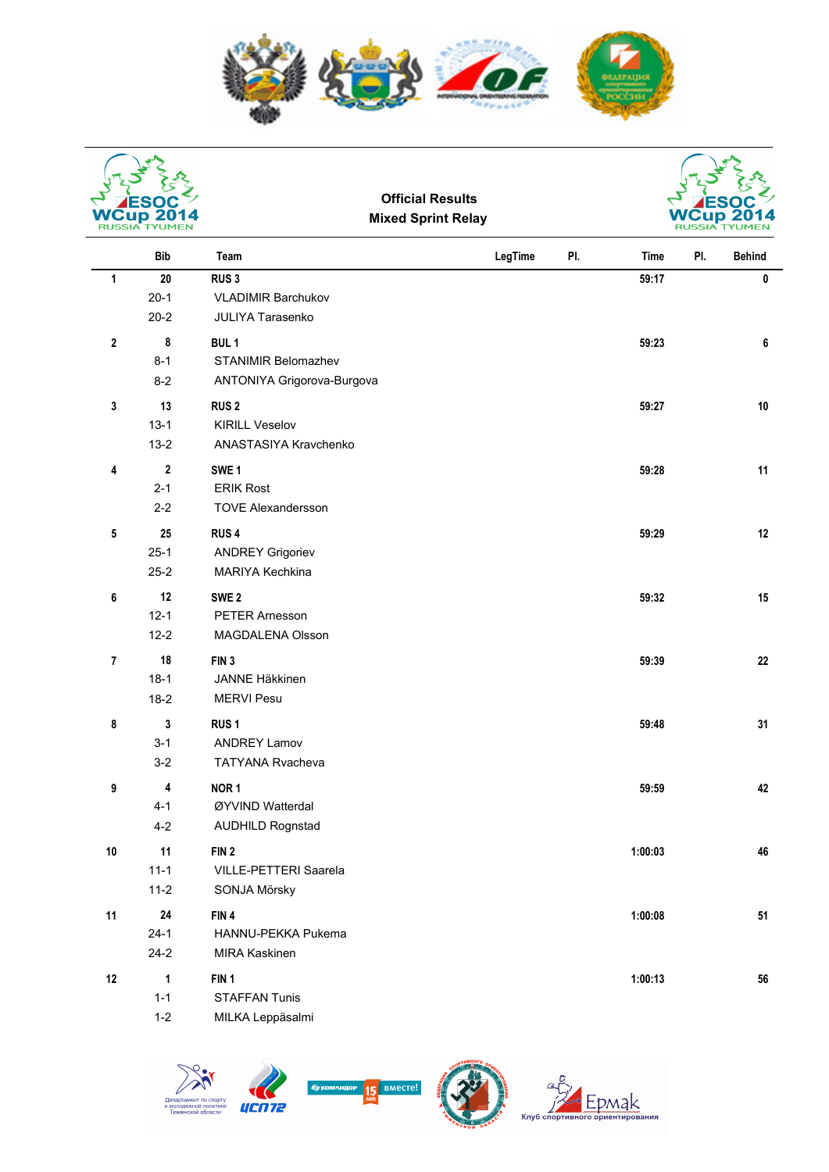

|                         |                                    | <b>Official Results</b><br><b>Mixed Sprint Relay</b>                     |         |     | <b>RUSS</b> |                      |  |
|-------------------------|------------------------------------|--------------------------------------------------------------------------|---------|-----|-------------|----------------------|--|
|                         | <b>Bib</b>                         | Team                                                                     | LegTime | PI. | <b>Time</b> | PI.<br><b>Behind</b> |  |
| $\mathbf{1}$            | 20<br>$20-1$<br>$20 - 2$           | RUS <sub>3</sub><br><b>VLADIMIR Barchukov</b><br><b>JULIYA Tarasenko</b> |         |     | 59:17       | $\pmb{0}$            |  |
| $\mathbf 2$             | 8<br>$8 - 1$<br>$8 - 2$            | <b>BUL1</b><br>STANIMIR Belomazhev<br>ANTONIYA Grigorova-Burgova         |         |     | 59:23       | 6                    |  |
| 3                       | 13<br>$13-1$<br>$13 - 2$           | <b>RUS2</b><br><b>KIRILL Veselov</b><br>ANASTASIYA Kravchenko            |         |     | 59:27       | 10                   |  |
| $\overline{\mathbf{4}}$ | $\mathbf 2$<br>$2 - 1$<br>$2 - 2$  | SWE <sub>1</sub><br><b>ERIK Rost</b><br><b>TOVE Alexandersson</b>        |         |     | 59:28       | 11                   |  |
| ${\bf 5}$               | 25<br>$25-1$<br>$25 - 2$           | RUS <sub>4</sub><br><b>ANDREY Grigoriev</b><br>MARIYA Kechkina           |         |     | 59:29       | 12                   |  |
| 6                       | 12<br>$12 - 1$<br>$12 - 2$         | SWE <sub>2</sub><br>PETER Arnesson<br><b>MAGDALENA Olsson</b>            |         |     | 59:32       | 15                   |  |
| $\overline{7}$          | 18<br>$18-1$<br>$18-2$             | FIN <sub>3</sub><br><b>JANNE Häkkinen</b><br><b>MERVI Pesu</b>           |         |     | 59:39       | 22                   |  |
| 8                       | $\mathbf{3}$<br>$3 - 1$<br>$3 - 2$ | RUS <sub>1</sub><br><b>ANDREY Lamov</b><br>TATYANA Rvacheva              |         |     | 59:48       | 31                   |  |
| 9                       | 4<br>$4 - 1$<br>$4 - 2$            | NOR <sub>1</sub><br>ØYVIND Watterdal<br><b>AUDHILD Rognstad</b>          |         |     | 59:59       | 42                   |  |

| 10 | 11       | FIN <sub>2</sub>             | 1:00:03 | 46 |
|----|----------|------------------------------|---------|----|
|    | $11 - 1$ | <b>VILLE-PETTERI Saarela</b> |         |    |
|    | $11 - 2$ | SONJA Mörsky                 |         |    |
| 11 | 24       | FIN <sub>4</sub>             | 1:00:08 | 51 |
|    | $24-1$   | HANNU-PEKKA Pukema           |         |    |
|    | $24-2$   | <b>MIRA Kaskinen</b>         |         |    |
| 12 | 1        | FIN <sub>1</sub>             | 1:00:13 | 56 |
|    | $1 - 1$  | <b>STAFFAN Tunis</b>         |         |    |
|    |          |                              |         |    |







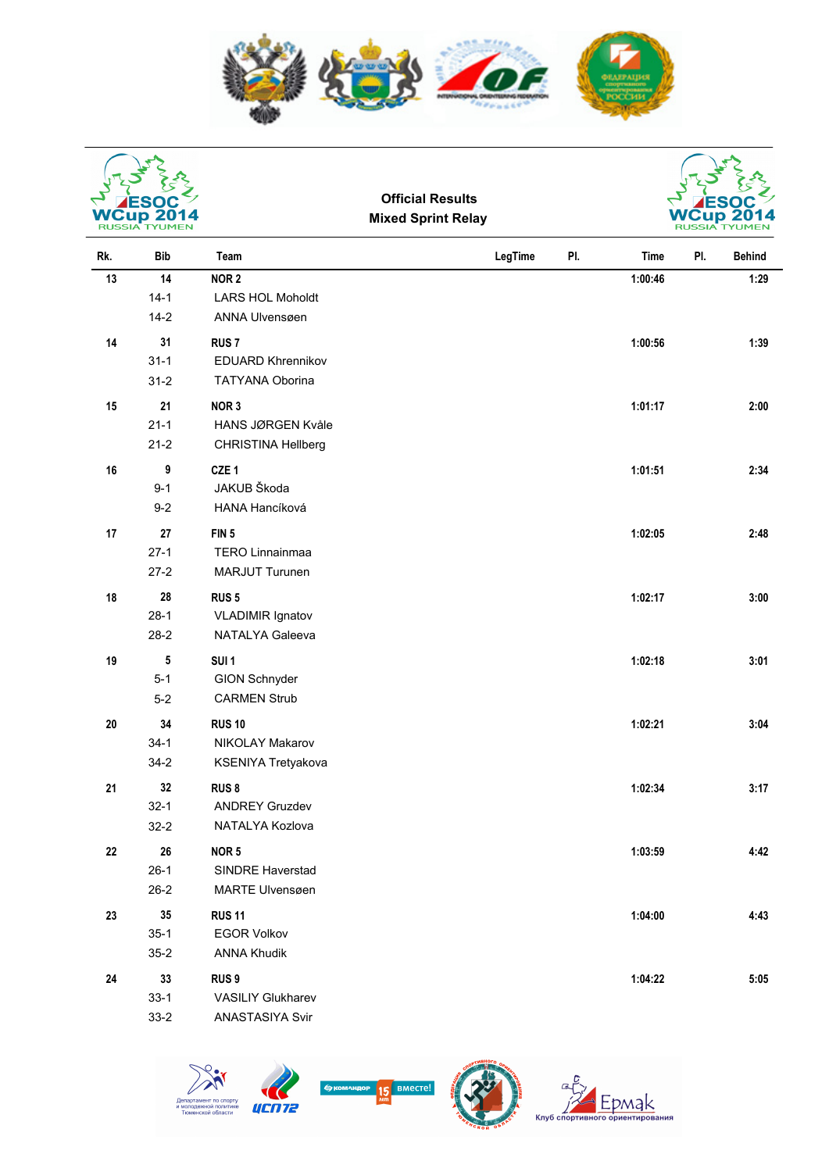

|    | WCup 2014  |      | <b>Official Results</b><br><b>Mixed Sprint Relay</b> | <b>NC</b><br><b>RUS</b> |
|----|------------|------|------------------------------------------------------|-------------------------|
| Rk | <b>Rih</b> | Team | ΡI<br>enTime                                         | Time                    |

| Rk.        | <b>Bib</b> | Team                      | LegTime | PI. | Time    | PI. | <b>Behind</b> |
|------------|------------|---------------------------|---------|-----|---------|-----|---------------|
| 13         | 14         | NOR <sub>2</sub>          |         |     | 1:00:46 |     | 1:29          |
|            | $14 - 1$   | <b>LARS HOL Moholdt</b>   |         |     |         |     |               |
|            | $14 - 2$   | ANNA Ulvensøen            |         |     |         |     |               |
| 14         | 31         | RUS <sub>7</sub>          |         |     | 1:00:56 |     | 1:39          |
|            | $31 - 1$   | <b>EDUARD Khrennikov</b>  |         |     |         |     |               |
|            | $31 - 2$   | <b>TATYANA Oborina</b>    |         |     |         |     |               |
| 15         | 21         | NOR <sub>3</sub>          |         |     | 1:01:17 |     | 2:00          |
|            | $21 - 1$   | HANS JØRGEN Kvåle         |         |     |         |     |               |
|            | $21 - 2$   | <b>CHRISTINA Hellberg</b> |         |     |         |     |               |
| 16         | 9          | CZE <sub>1</sub>          |         |     | 1:01:51 |     | 2:34          |
|            | $9 - 1$    | JAKUB Škoda               |         |     |         |     |               |
|            | $9-2$      | HANA Hancíková            |         |     |         |     |               |
| 17         | 27         | FIN <sub>5</sub>          |         |     | 1:02:05 |     | 2:48          |
|            | $27-1$     | TERO Linnainmaa           |         |     |         |     |               |
|            | $27 - 2$   | MARJUT Turunen            |         |     |         |     |               |
| $18\,$     | 28         | RUS <sub>5</sub>          |         |     | 1:02:17 |     | 3:00          |
|            | $28-1$     | <b>VLADIMIR Ignatov</b>   |         |     |         |     |               |
|            | $28-2$     | <b>NATALYA Galeeva</b>    |         |     |         |     |               |
| 19         | 5          | SUI <sub>1</sub>          |         |     | 1:02:18 |     | 3:01          |
|            | $5 - 1$    | <b>GION Schnyder</b>      |         |     |         |     |               |
|            | $5-2$      | <b>CARMEN Strub</b>       |         |     |         |     |               |
| $20\,$     | 34         | <b>RUS 10</b>             |         |     | 1:02:21 |     | 3:04          |
|            | $34-1$     | NIKOLAY Makarov           |         |     |         |     |               |
|            | $34 - 2$   | KSENIYA Tretyakova        |         |     |         |     |               |
| 21         | 32         | <b>RUS 8</b>              |         |     | 1:02:34 |     | 3:17          |
|            | $32 - 1$   | <b>ANDREY Gruzdev</b>     |         |     |         |     |               |
|            | $32 - 2$   | NATALYA Kozlova           |         |     |         |     |               |
| ${\bf 22}$ | 26         | NOR <sub>5</sub>          |         |     | 1:03:59 |     | 4:42          |
|            | $26-1$     | SINDRE Haverstad          |         |     |         |     |               |
|            | $26 - 2$   | MARTE Ulvensøen           |         |     |         |     |               |
| 23         | $35\,$     | <b>RUS 11</b>             |         |     | 1:04:00 |     | 4:43          |
|            | $35-1$     | <b>EGOR Volkov</b>        |         |     |         |     |               |
|            | $35 - 2$   | <b>ANNA Khudik</b>        |         |     |         |     |               |
| 24         | 33         | RUS <sub>9</sub>          |         |     | 1:04:22 |     | 5:05          |
|            | $33-1$     | <b>VASILIY Glukharev</b>  |         |     |         |     |               |
|            | $33 - 2$   | ANASTASIYA Svir           |         |     |         |     |               |



![](_page_1_Picture_4.jpeg)

![](_page_1_Picture_5.jpeg)

![](_page_1_Picture_6.jpeg)

**up 20** SIA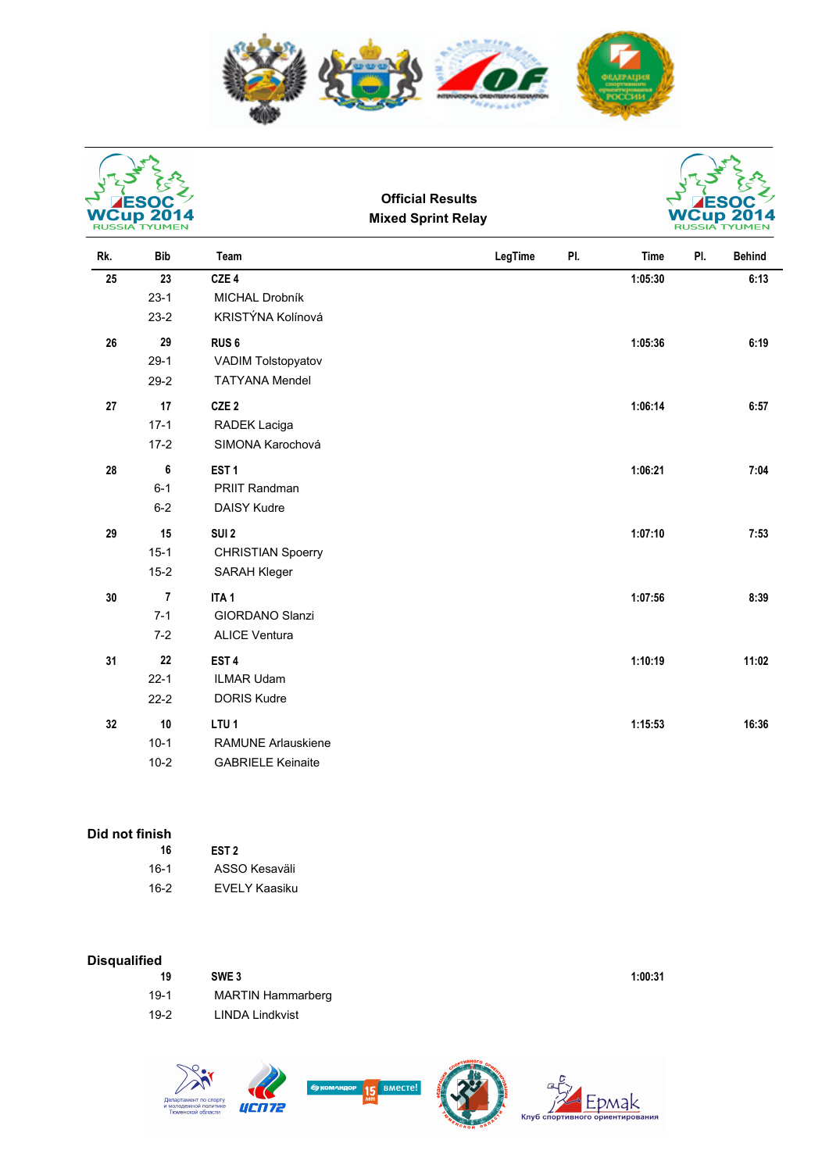![](_page_2_Picture_0.jpeg)

**Mixed Sprint Relay Official Results** 

![](_page_2_Picture_2.jpeg)

| Rk. | <b>Bib</b>                           | Team                                                                      | LegTime | PI. | <b>Time</b> | PI. | <b>Behind</b> |
|-----|--------------------------------------|---------------------------------------------------------------------------|---------|-----|-------------|-----|---------------|
| 25  | 23<br>$23-1$<br>$23-2$               | CZE 4<br>MICHAL Drobník<br>KRISTÝNA Kolínová                              |         |     | 1:05:30     |     | 6:13          |
| 26  | 29<br>$29-1$<br>$29-2$               | RUS <sub>6</sub><br>VADIM Tolstopyatov<br><b>TATYANA Mendel</b>           |         |     | 1:05:36     |     | 6:19          |
| 27  | 17<br>$17-1$<br>$17-2$               | CZE <sub>2</sub><br>RADEK Laciga<br>SIMONA Karochová                      |         |     | 1:06:14     |     | 6:57          |
| 28  | 6<br>$6 - 1$<br>$6 - 2$              | EST <sub>1</sub><br>PRIIT Randman<br><b>DAISY Kudre</b>                   |         |     | 1:06:21     |     | 7:04          |
| 29  | 15<br>$15 - 1$<br>$15 - 2$           | SUI <sub>2</sub><br><b>CHRISTIAN Spoerry</b><br><b>SARAH Kleger</b>       |         |     | 1:07:10     |     | 7:53          |
| 30  | $\overline{7}$<br>$7 - 1$<br>$7 - 2$ | ITA <sub>1</sub><br><b>GIORDANO Slanzi</b><br><b>ALICE Ventura</b>        |         |     | 1:07:56     |     | 8:39          |
| 31  | 22<br>$22 - 1$<br>$22 - 2$           | EST <sub>4</sub><br><b>ILMAR Udam</b><br><b>DORIS Kudre</b>               |         |     | 1:10:19     |     | 11:02         |
| 32  | 10<br>$10-1$<br>$10-2$               | LTU <sub>1</sub><br><b>RAMUNE Arlauskiene</b><br><b>GABRIELE Keinaite</b> |         |     | 1:15:53     |     | 16:36         |

| Did not finish |                  |  |  |  |
|----------------|------------------|--|--|--|
| 16             | EST <sub>2</sub> |  |  |  |
| $16-1$         | ASS <sub>C</sub> |  |  |  |

| $16-1$ | ASSO Kesaväli |
|--------|---------------|
| $16-2$ | EVELY Kaasiku |

## **Disqualified**

| 19     | SWE <sub>3</sub>         | 1:00:31 |
|--------|--------------------------|---------|
| $19-1$ | <b>MARTIN Hammarberg</b> |         |
| $19-2$ | LINDA Lindkvist          |         |

![](_page_2_Picture_8.jpeg)